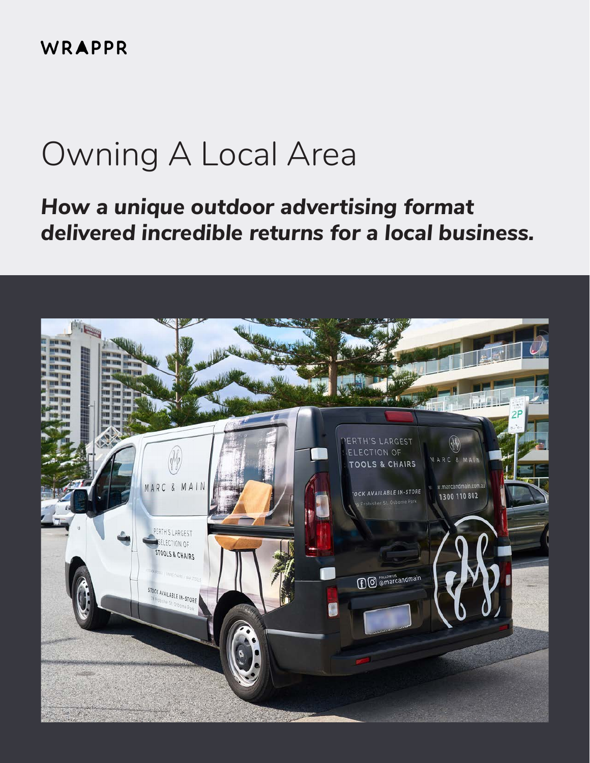WRAPPR

# Owning A Local Area

# *How a unique outdoor advertising format delivered incredible returns for a local business.*